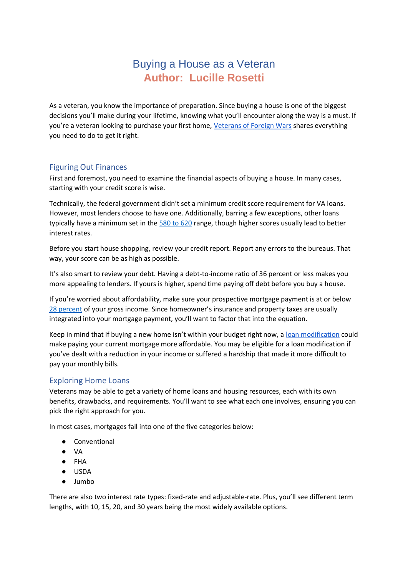# Buying a House as a Veteran **Author: Lucille Rosetti**

As a veteran, you know the importance of preparation. Since buying a house is one of the biggest decisions you'll make during your lifetime, knowing what you'll encounter along the way is a must. If you're a veteran looking to purchase your first home, [Veterans of Foreign Wars](https://vfw8058.org/di/vfw/v2/default.asp) shares everything you need to do to get it right.

### Figuring Out Finances

First and foremost, you need to examine the financial aspects of buying a house. In many cases, starting with your credit score is wise.

Technically, the federal government didn't set a minimum credit score requirement for VA loans. However, most lenders choose to have one. Additionally, barring a few exceptions, other loans typically have a minimum set in th[e 580 to 620](https://www.cnbc.com/select/credit-score-needed-to-buy-house/) range, though higher scores usually lead to better interest rates.

Before you start house shopping, review your credit report. Report any errors to the bureaus. That way, your score can be as high as possible.

It's also smart to review your debt. Having a debt-to-income ratio of 36 percent or less makes you more appealing to lenders. If yours is higher, spend time paying off debt before you buy a house.

If you're worried about affordability, make sure your prospective mortgage payment is at or below [28 percent](https://www.nbcnews.com/better/pop-culture/how-much-house-can-you-afford-28-36-rule-will-ncna907491) of your gross income. Since homeowner's insurance and property taxes are usually integrated into your mortgage payment, you'll want to factor that into the equation.

Keep in mind that if buying a new home isn't within your budget right now, a [loan modification](https://www.pennymac.com/relief-and-assistance/options-to-stay-in-your-home/loan-modification) could make paying your current mortgage more affordable. You may be eligible for a loan modification if you've dealt with a reduction in your income or suffered a hardship that made it more difficult to pay your monthly bills.

## Exploring Home Loans

Veterans may be able to get a variety of home loans and housing resources, each with its own benefits, drawbacks, and requirements. You'll want to see what each one involves, ensuring you can pick the right approach for you.

In most cases, mortgages fall into one of the five categories below:

- Conventional
- VA
- FHA
- USDA
- Jumbo

There are also two interest rate types: fixed-rate and adjustable-rate. Plus, you'll see different term lengths, with 10, 15, 20, and 30 years being the most widely available options.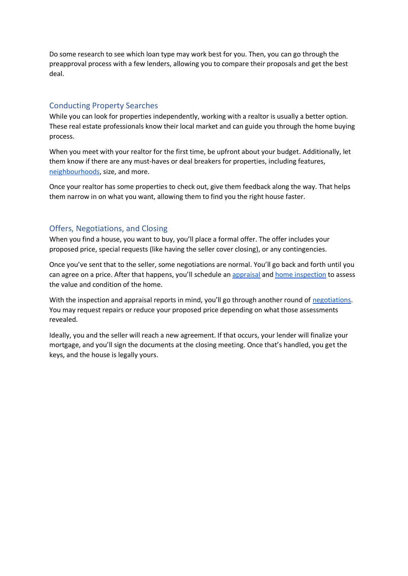Do some research to see which loan type may work best for you. Then, you can go through the preapproval process with a few lenders, allowing you to compare their proposals and get the best deal.

## Conducting Property Searches

While you can look for properties independently, working with a realtor is usually a better option. These real estate professionals know their local market and can guide you through the home buying process.

When you meet with your realtor for the first time, be upfront about your budget. Additionally, let them know if there are any must-haves or deal breakers for properties, including features, [neighbourhoods,](https://www.tchabitat.org/blog/choosing-a-neighborhood) size, and more.

Once your realtor has some properties to check out, give them feedback along the way. That helps them narrow in on what you want, allowing them to find you the right house faster.

### Offers, Negotiations, and Closing

When you find a house, you want to buy, you'll place a formal offer. The offer includes your proposed price, special requests (like having the seller cover closing), or any contingencies.

Once you've sent that to the seller, some negotiations are normal. You'll go back and forth until you can agree on a price. After that happens, you'll schedule a[n appraisal](http://www.michellecook.com/blog-2/appraiser-determine-property-value/) an[d home inspection](https://www.hgtv.com/lifestyle/real-estate/finding-the-right-home-inspector) to assess the value and condition of the home.

With the inspection and appraisal reports in mind, you'll go through another round of [negotiations.](https://www.mymove.com/buying-selling/guides/negotiating-after-home-inspection/) You may request repairs or reduce your proposed price depending on what those assessments revealed.

Ideally, you and the seller will reach a new agreement. If that occurs, your lender will finalize your mortgage, and you'll sign the documents at the closing meeting. Once that's handled, you get the keys, and the house is legally yours.